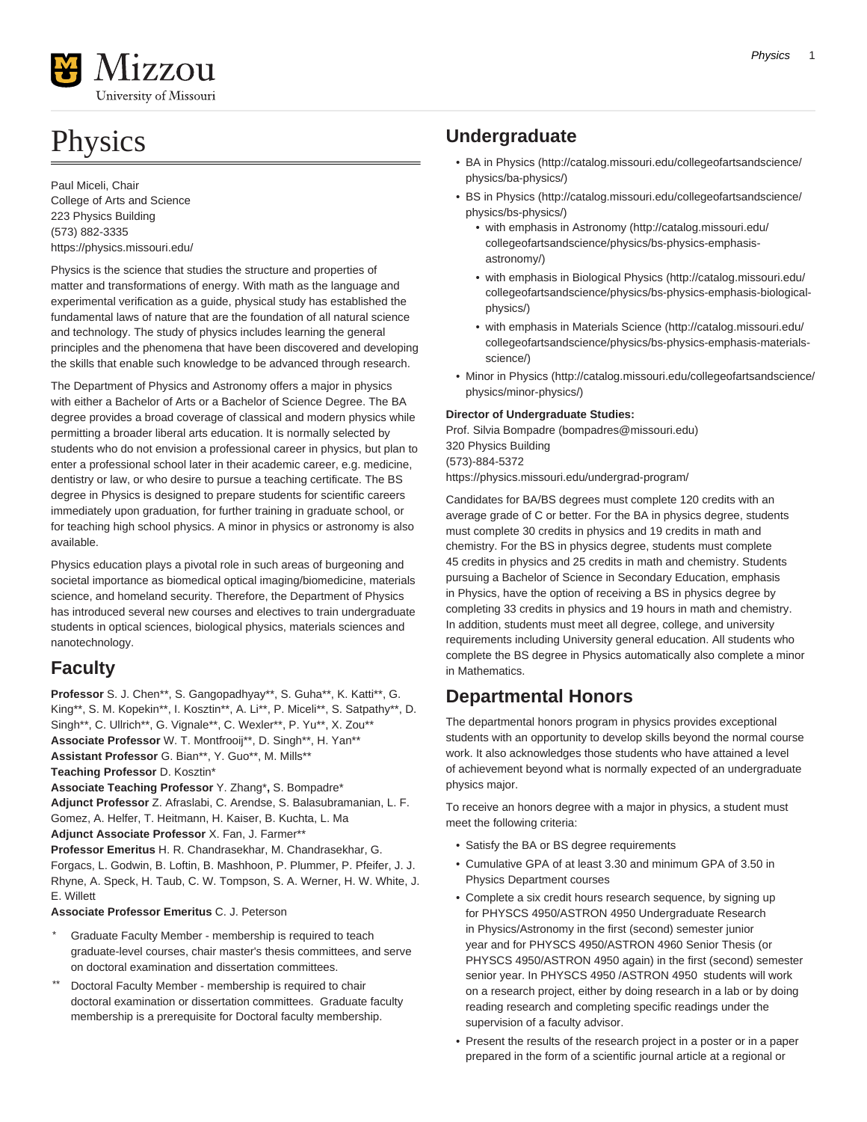

# **Physics**

Paul Miceli, Chair College of Arts and Science 223 Physics Building (573) 882-3335 <https://physics.missouri.edu/>

Physics is the science that studies the structure and properties of matter and transformations of energy. With math as the language and experimental verification as a guide, physical study has established the fundamental laws of nature that are the foundation of all natural science and technology. The study of physics includes learning the general principles and the phenomena that have been discovered and developing the skills that enable such knowledge to be advanced through research.

The Department of Physics and Astronomy offers a major in physics with either a Bachelor of Arts or a Bachelor of Science Degree. The BA degree provides a broad coverage of classical and modern physics while permitting a broader liberal arts education. It is normally selected by students who do not envision a professional career in physics, but plan to enter a professional school later in their academic career, e.g. medicine, dentistry or law, or who desire to pursue a teaching certificate. The BS degree in Physics is designed to prepare students for scientific careers immediately upon graduation, for further training in graduate school, or for teaching high school physics. A minor in physics or astronomy is also available.

Physics education plays a pivotal role in such areas of burgeoning and societal importance as biomedical optical imaging/biomedicine, materials science, and homeland security. Therefore, the Department of Physics has introduced several new courses and electives to train undergraduate students in optical sciences, biological physics, materials sciences and nanotechnology.

# **Faculty**

**Professor** S. J. Chen\*\*, S. Gangopadhyay\*\*, S. Guha\*\*, K. Katti\*\*, G. King\*\*, S. M. Kopekin\*\*, I. Kosztin\*\*, A. Li\*\*, P. Miceli\*\*, S. Satpathy\*\*, D. Singh\*\*, C. Ullrich\*\*, G. Vignale\*\*, C. Wexler\*\*, P. Yu\*\*, X. Zou\*\* **Associate Professor** W. T. Montfrooij\*\*, D. Singh\*\*, H. Yan\*\* **Assistant Professor** G. Bian\*\*, Y. Guo\*\*, M. Mills\*\* **Teaching Professor** D. Kosztin\* **Associate Teaching Professor** Y. Zhang\***,** S. Bompadre\* **Adjunct Professor** Z. Afraslabi, C. Arendse, S. Balasubramanian, L. F. Gomez, A. Helfer, T. Heitmann, H. Kaiser, B. Kuchta, L. Ma **Adjunct Associate Professor** X. Fan, J. Farmer\*\* **Professor Emeritus** H. R. Chandrasekhar, M. Chandrasekhar, G. Forgacs, L. Godwin, B. Loftin, B. Mashhoon, P. Plummer, P. Pfeifer, J. J. Rhyne, A. Speck, H. Taub, C. W. Tompson, S. A. Werner, H. W. White, J. E. Willett

# **Associate Professor Emeritus** C. J. Peterson

- Graduate Faculty Member membership is required to teach graduate-level courses, chair master's thesis committees, and serve on doctoral examination and dissertation committees.
- Doctoral Faculty Member membership is required to chair doctoral examination or dissertation committees. Graduate faculty membership is a prerequisite for Doctoral faculty membership.

# **Undergraduate**

- [BA in Physics](http://catalog.missouri.edu/collegeofartsandscience/physics/ba-physics/) ([http://catalog.missouri.edu/collegeofartsandscience/](http://catalog.missouri.edu/collegeofartsandscience/physics/ba-physics/) [physics/ba-physics/](http://catalog.missouri.edu/collegeofartsandscience/physics/ba-physics/))
- [BS in Physics](http://catalog.missouri.edu/collegeofartsandscience/physics/bs-physics/) ([http://catalog.missouri.edu/collegeofartsandscience/](http://catalog.missouri.edu/collegeofartsandscience/physics/bs-physics/) [physics/bs-physics/\)](http://catalog.missouri.edu/collegeofartsandscience/physics/bs-physics/)
	- [with emphasis in Astronomy \(http://catalog.missouri.edu/](http://catalog.missouri.edu/collegeofartsandscience/physics/bs-physics-emphasis-astronomy/) [collegeofartsandscience/physics/bs-physics-emphasis](http://catalog.missouri.edu/collegeofartsandscience/physics/bs-physics-emphasis-astronomy/)[astronomy/\)](http://catalog.missouri.edu/collegeofartsandscience/physics/bs-physics-emphasis-astronomy/)
	- [with emphasis in Biological Physics](http://catalog.missouri.edu/collegeofartsandscience/physics/bs-physics-emphasis-biological-physics/) [\(http://catalog.missouri.edu/](http://catalog.missouri.edu/collegeofartsandscience/physics/bs-physics-emphasis-biological-physics/) [collegeofartsandscience/physics/bs-physics-emphasis-biological](http://catalog.missouri.edu/collegeofartsandscience/physics/bs-physics-emphasis-biological-physics/)[physics/\)](http://catalog.missouri.edu/collegeofartsandscience/physics/bs-physics-emphasis-biological-physics/)
	- [with emphasis in Materials Science](http://catalog.missouri.edu/collegeofartsandscience/physics/bs-physics-emphasis-materials-science/) [\(http://catalog.missouri.edu/](http://catalog.missouri.edu/collegeofartsandscience/physics/bs-physics-emphasis-materials-science/) [collegeofartsandscience/physics/bs-physics-emphasis-materials](http://catalog.missouri.edu/collegeofartsandscience/physics/bs-physics-emphasis-materials-science/)[science/](http://catalog.missouri.edu/collegeofartsandscience/physics/bs-physics-emphasis-materials-science/))
- [Minor in Physics](http://catalog.missouri.edu/collegeofartsandscience/physics/minor-physics/) [\(http://catalog.missouri.edu/collegeofartsandscience/](http://catalog.missouri.edu/collegeofartsandscience/physics/minor-physics/) [physics/minor-physics/](http://catalog.missouri.edu/collegeofartsandscience/physics/minor-physics/))

# **Director of Undergraduate Studies:**

[Prof. Silvia Bompadre](mailto:bompadres@missouri.edu) [\(bompadres@missouri.edu\)](bompadres@missouri.edu) 320 Physics Building (573)-884-5372 <https://physics.missouri.edu/undergrad-program/>

Candidates for BA/BS degrees must complete 120 credits with an average grade of C or better. For the BA in physics degree, students must complete 30 credits in physics and 19 credits in math and chemistry. For the BS in physics degree, students must complete 45 credits in physics and 25 credits in math and chemistry. Students pursuing a Bachelor of Science in Secondary Education, emphasis in Physics, have the option of receiving a BS in physics degree by completing 33 credits in physics and 19 hours in math and chemistry. In addition, students must meet all degree, college, and university requirements including University general education. All students who complete the BS degree in Physics automatically also complete a minor in Mathematics.

# **Departmental Honors**

The departmental honors program in physics provides exceptional students with an opportunity to develop skills beyond the normal course work. It also acknowledges those students who have attained a level of achievement beyond what is normally expected of an undergraduate physics major.

To receive an honors degree with a major in physics, a student must meet the following criteria:

- Satisfy the BA or BS degree requirements
- Cumulative GPA of at least 3.30 and minimum GPA of 3.50 in Physics Department courses
- Complete a six credit hours research sequence, by signing up for PHYSCS 4950/ASTRON 4950 Undergraduate Research in Physics/Astronomy in the first (second) semester junior year and for PHYSCS 4950/ASTRON 4960 Senior Thesis (or PHYSCS 4950/ASTRON 4950 again) in the first (second) semester senior year. In PHYSCS 4950 /ASTRON 4950 students will work on a research project, either by doing research in a lab or by doing reading research and completing specific readings under the supervision of a faculty advisor.
- Present the results of the research project in a poster or in a paper prepared in the form of a scientific journal article at a regional or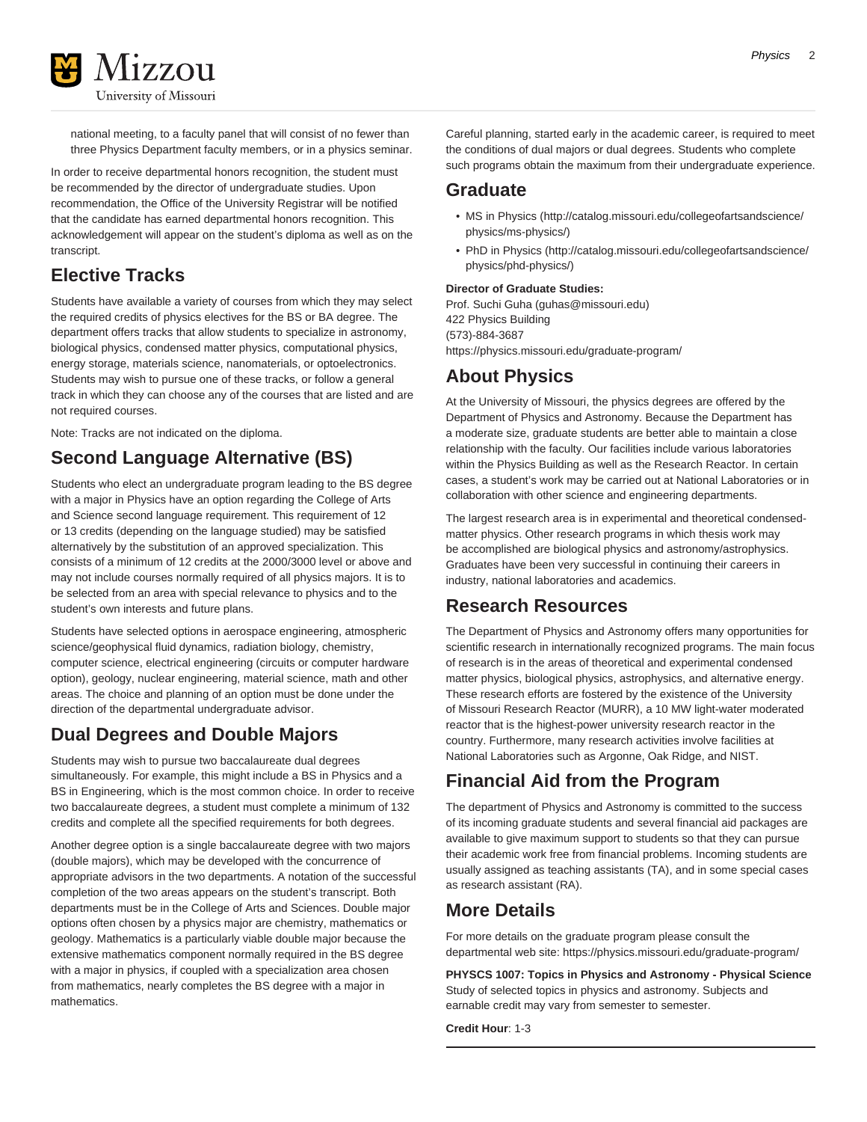national meeting, to a faculty panel that will consist of no fewer than three Physics Department faculty members, or in a physics seminar.

In order to receive departmental honors recognition, the student must be recommended by the director of undergraduate studies. Upon recommendation, the Office of the University Registrar will be notified that the candidate has earned departmental honors recognition. This acknowledgement will appear on the student's diploma as well as on the transcript.

# **Elective Tracks**

Students have available a variety of courses from which they may select the required credits of physics electives for the BS or BA degree. The department offers tracks that allow students to specialize in astronomy, biological physics, condensed matter physics, computational physics, energy storage, materials science, nanomaterials, or optoelectronics. Students may wish to pursue one of these tracks, or follow a general track in which they can choose any of the courses that are listed and are not required courses.

Note: Tracks are not indicated on the diploma.

# **Second Language Alternative (BS)**

Students who elect an undergraduate program leading to the BS degree with a major in Physics have an option regarding the College of Arts and Science second language requirement. This requirement of 12 or 13 credits (depending on the language studied) may be satisfied alternatively by the substitution of an approved specialization. This consists of a minimum of 12 credits at the 2000/3000 level or above and may not include courses normally required of all physics majors. It is to be selected from an area with special relevance to physics and to the student's own interests and future plans.

Students have selected options in aerospace engineering, atmospheric science/geophysical fluid dynamics, radiation biology, chemistry, computer science, electrical engineering (circuits or computer hardware option), geology, nuclear engineering, material science, math and other areas. The choice and planning of an option must be done under the direction of the departmental undergraduate advisor.

# **Dual Degrees and Double Majors**

Students may wish to pursue two baccalaureate dual degrees simultaneously. For example, this might include a BS in Physics and a BS in Engineering, which is the most common choice. In order to receive two baccalaureate degrees, a student must complete a minimum of 132 credits and complete all the specified requirements for both degrees.

Another degree option is a single baccalaureate degree with two majors (double majors), which may be developed with the concurrence of appropriate advisors in the two departments. A notation of the successful completion of the two areas appears on the student's transcript. Both departments must be in the College of Arts and Sciences. Double major options often chosen by a physics major are chemistry, mathematics or geology. Mathematics is a particularly viable double major because the extensive mathematics component normally required in the BS degree with a major in physics, if coupled with a specialization area chosen from mathematics, nearly completes the BS degree with a major in mathematics.

Careful planning, started early in the academic career, is required to meet the conditions of dual majors or dual degrees. Students who complete such programs obtain the maximum from their undergraduate experience.

# **Graduate**

- [MS in Physics](http://catalog.missouri.edu/collegeofartsandscience/physics/ms-physics/) [\(http://catalog.missouri.edu/collegeofartsandscience/](http://catalog.missouri.edu/collegeofartsandscience/physics/ms-physics/) [physics/ms-physics/](http://catalog.missouri.edu/collegeofartsandscience/physics/ms-physics/))
- [PhD in Physics](http://catalog.missouri.edu/collegeofartsandscience/physics/phd-physics/) ([http://catalog.missouri.edu/collegeofartsandscience/](http://catalog.missouri.edu/collegeofartsandscience/physics/phd-physics/) [physics/phd-physics/\)](http://catalog.missouri.edu/collegeofartsandscience/physics/phd-physics/)

# **Director of Graduate Studies:**

[Prof. Suchi Guha](mailto:guhas@missouri.edu) (<guhas@missouri.edu>) 422 Physics Building (573)-884-3687 <https://physics.missouri.edu/graduate-program/>

# **About Physics**

At the University of Missouri, the physics degrees are offered by the Department of Physics and Astronomy. Because the Department has a moderate size, graduate students are better able to maintain a close relationship with the faculty. Our facilities include various laboratories within the Physics Building as well as the Research Reactor. In certain cases, a student's work may be carried out at National Laboratories or in collaboration with other science and engineering departments.

The largest research area is in experimental and theoretical condensedmatter physics. Other research programs in which thesis work may be accomplished are biological physics and astronomy/astrophysics. Graduates have been very successful in continuing their careers in industry, national laboratories and academics.

# **Research Resources**

The Department of Physics and Astronomy offers many opportunities for scientific research in internationally recognized programs. The main focus of research is in the areas of theoretical and experimental condensed matter physics, biological physics, astrophysics, and alternative energy. These research efforts are fostered by the existence of the University of Missouri Research Reactor (MURR), a 10 MW light-water moderated reactor that is the highest-power university research reactor in the country. Furthermore, many research activities involve facilities at National Laboratories such as Argonne, Oak Ridge, and NIST.

# **Financial Aid from the Program**

The department of Physics and Astronomy is committed to the success of its incoming graduate students and several financial aid packages are available to give maximum support to students so that they can pursue their academic work free from financial problems. Incoming students are usually assigned as teaching assistants (TA), and in some special cases as research assistant (RA).

# **More Details**

For more details on the graduate program please consult the departmental web site: <https://physics.missouri.edu/graduate-program/>

**PHYSCS 1007: Topics in Physics and Astronomy - Physical Science** Study of selected topics in physics and astronomy. Subjects and earnable credit may vary from semester to semester.

**Credit Hour**: 1-3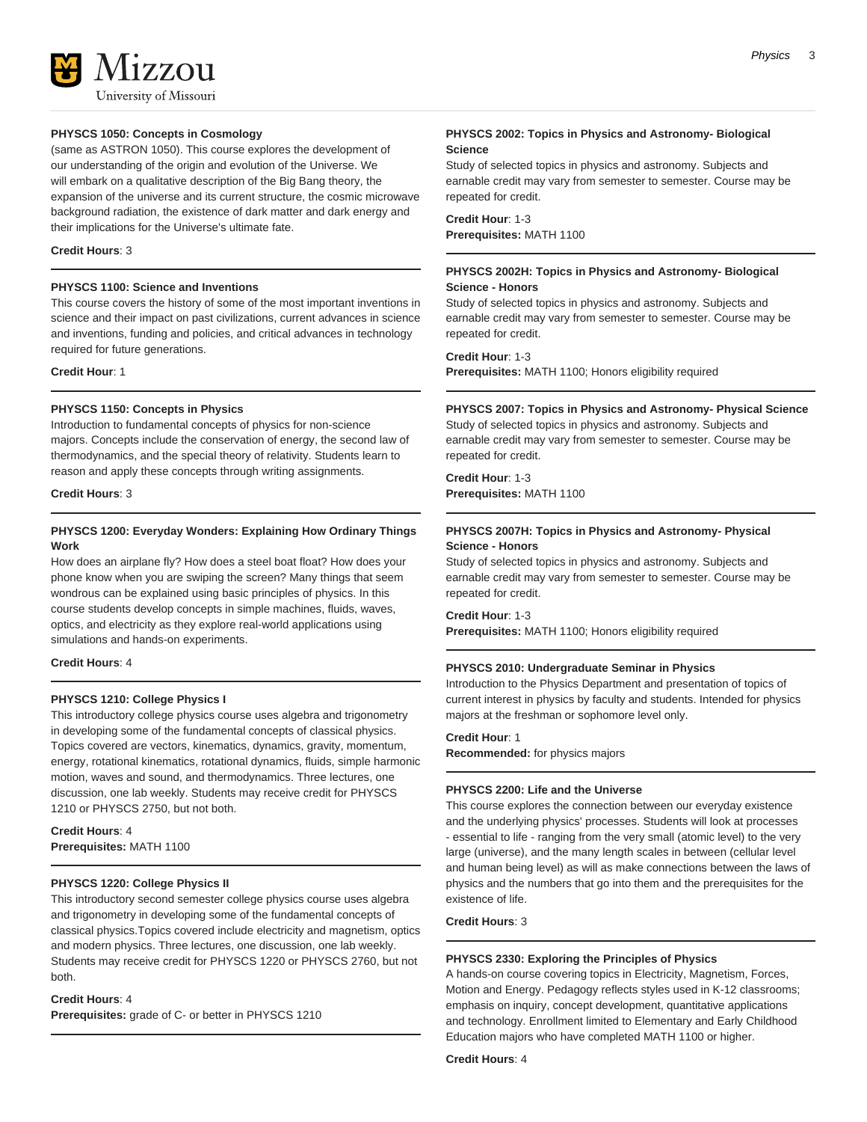

# **PHYSCS 1050: Concepts in Cosmology**

(same as ASTRON 1050). This course explores the development of our understanding of the origin and evolution of the Universe. We will embark on a qualitative description of the Big Bang theory, the expansion of the universe and its current structure, the cosmic microwave background radiation, the existence of dark matter and dark energy and their implications for the Universe's ultimate fate.

### **Credit Hours**: 3

# **PHYSCS 1100: Science and Inventions**

This course covers the history of some of the most important inventions in science and their impact on past civilizations, current advances in science and inventions, funding and policies, and critical advances in technology required for future generations.

**Credit Hour**: 1

# **PHYSCS 1150: Concepts in Physics**

Introduction to fundamental concepts of physics for non-science majors. Concepts include the conservation of energy, the second law of thermodynamics, and the special theory of relativity. Students learn to reason and apply these concepts through writing assignments.

**Credit Hours**: 3

# **PHYSCS 1200: Everyday Wonders: Explaining How Ordinary Things Work**

How does an airplane fly? How does a steel boat float? How does your phone know when you are swiping the screen? Many things that seem wondrous can be explained using basic principles of physics. In this course students develop concepts in simple machines, fluids, waves, optics, and electricity as they explore real-world applications using simulations and hands-on experiments.

# **Credit Hours**: 4

# **PHYSCS 1210: College Physics I**

This introductory college physics course uses algebra and trigonometry in developing some of the fundamental concepts of classical physics. Topics covered are vectors, kinematics, dynamics, gravity, momentum, energy, rotational kinematics, rotational dynamics, fluids, simple harmonic motion, waves and sound, and thermodynamics. Three lectures, one discussion, one lab weekly. Students may receive credit for PHYSCS 1210 or PHYSCS 2750, but not both.

**Credit Hours**: 4 **Prerequisites:** MATH 1100

#### **PHYSCS 1220: College Physics II**

This introductory second semester college physics course uses algebra and trigonometry in developing some of the fundamental concepts of classical physics.Topics covered include electricity and magnetism, optics and modern physics. Three lectures, one discussion, one lab weekly. Students may receive credit for PHYSCS 1220 or PHYSCS 2760, but not both.

# **Credit Hours**: 4

**Prerequisites:** grade of C- or better in PHYSCS 1210

# **PHYSCS 2002: Topics in Physics and Astronomy- Biological Science**

Study of selected topics in physics and astronomy. Subjects and earnable credit may vary from semester to semester. Course may be repeated for credit.

**Credit Hour**: 1-3 **Prerequisites:** MATH 1100

# **PHYSCS 2002H: Topics in Physics and Astronomy- Biological Science - Honors**

Study of selected topics in physics and astronomy. Subjects and earnable credit may vary from semester to semester. Course may be repeated for credit.

**Credit Hour**: 1-3 **Prerequisites:** MATH 1100; Honors eligibility required

# **PHYSCS 2007: Topics in Physics and Astronomy- Physical Science**

Study of selected topics in physics and astronomy. Subjects and earnable credit may vary from semester to semester. Course may be repeated for credit.

**Credit Hour**: 1-3 **Prerequisites:** MATH 1100

# **PHYSCS 2007H: Topics in Physics and Astronomy- Physical Science - Honors**

Study of selected topics in physics and astronomy. Subjects and earnable credit may vary from semester to semester. Course may be repeated for credit.

**Credit Hour**: 1-3 **Prerequisites:** MATH 1100; Honors eligibility required

#### **PHYSCS 2010: Undergraduate Seminar in Physics**

Introduction to the Physics Department and presentation of topics of current interest in physics by faculty and students. Intended for physics majors at the freshman or sophomore level only.

# **Credit Hour**: 1

**Recommended:** for physics majors

### **PHYSCS 2200: Life and the Universe**

This course explores the connection between our everyday existence and the underlying physics' processes. Students will look at processes - essential to life - ranging from the very small (atomic level) to the very large (universe), and the many length scales in between (cellular level and human being level) as will as make connections between the laws of physics and the numbers that go into them and the prerequisites for the existence of life.

**Credit Hours**: 3

#### **PHYSCS 2330: Exploring the Principles of Physics**

A hands-on course covering topics in Electricity, Magnetism, Forces, Motion and Energy. Pedagogy reflects styles used in K-12 classrooms; emphasis on inquiry, concept development, quantitative applications and technology. Enrollment limited to Elementary and Early Childhood Education majors who have completed MATH 1100 or higher.

**Credit Hours**: 4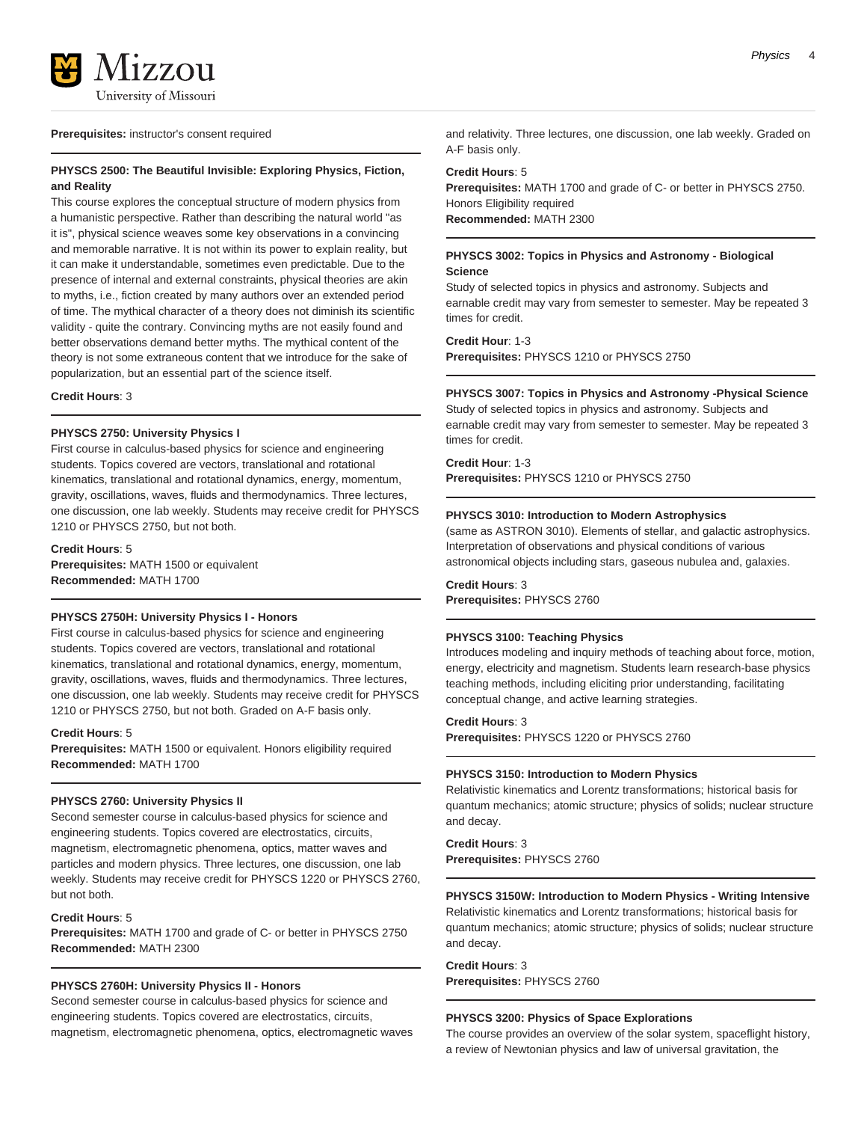

#### **Prerequisites:** instructor's consent required

# **PHYSCS 2500: The Beautiful Invisible: Exploring Physics, Fiction, and Reality**

This course explores the conceptual structure of modern physics from a humanistic perspective. Rather than describing the natural world "as it is", physical science weaves some key observations in a convincing and memorable narrative. It is not within its power to explain reality, but it can make it understandable, sometimes even predictable. Due to the presence of internal and external constraints, physical theories are akin to myths, i.e., fiction created by many authors over an extended period of time. The mythical character of a theory does not diminish its scientific validity - quite the contrary. Convincing myths are not easily found and better observations demand better myths. The mythical content of the theory is not some extraneous content that we introduce for the sake of popularization, but an essential part of the science itself.

**Credit Hours**: 3

# **PHYSCS 2750: University Physics I**

First course in calculus-based physics for science and engineering students. Topics covered are vectors, translational and rotational kinematics, translational and rotational dynamics, energy, momentum, gravity, oscillations, waves, fluids and thermodynamics. Three lectures, one discussion, one lab weekly. Students may receive credit for PHYSCS 1210 or PHYSCS 2750, but not both.

**Credit Hours**: 5 **Prerequisites:** MATH 1500 or equivalent **Recommended:** MATH 1700

#### **PHYSCS 2750H: University Physics I - Honors**

First course in calculus-based physics for science and engineering students. Topics covered are vectors, translational and rotational kinematics, translational and rotational dynamics, energy, momentum, gravity, oscillations, waves, fluids and thermodynamics. Three lectures, one discussion, one lab weekly. Students may receive credit for PHYSCS 1210 or PHYSCS 2750, but not both. Graded on A-F basis only.

#### **Credit Hours**: 5

**Prerequisites:** MATH 1500 or equivalent. Honors eligibility required **Recommended:** MATH 1700

# **PHYSCS 2760: University Physics II**

Second semester course in calculus-based physics for science and engineering students. Topics covered are electrostatics, circuits, magnetism, electromagnetic phenomena, optics, matter waves and particles and modern physics. Three lectures, one discussion, one lab weekly. Students may receive credit for PHYSCS 1220 or PHYSCS 2760, but not both.

# **Credit Hours**: 5

**Prerequisites:** MATH 1700 and grade of C- or better in PHYSCS 2750 **Recommended:** MATH 2300

#### **PHYSCS 2760H: University Physics II - Honors**

Second semester course in calculus-based physics for science and engineering students. Topics covered are electrostatics, circuits, magnetism, electromagnetic phenomena, optics, electromagnetic waves and relativity. Three lectures, one discussion, one lab weekly. Graded on A-F basis only.

#### **Credit Hours**: 5

**Prerequisites:** MATH 1700 and grade of C- or better in PHYSCS 2750. Honors Eligibility required **Recommended:** MATH 2300

# **PHYSCS 3002: Topics in Physics and Astronomy - Biological Science**

Study of selected topics in physics and astronomy. Subjects and earnable credit may vary from semester to semester. May be repeated 3 times for credit.

**Credit Hour**: 1-3

**Prerequisites:** PHYSCS 1210 or PHYSCS 2750

# **PHYSCS 3007: Topics in Physics and Astronomy -Physical Science**

Study of selected topics in physics and astronomy. Subjects and earnable credit may vary from semester to semester. May be repeated 3 times for credit.

**Credit Hour**: 1-3

**Prerequisites:** PHYSCS 1210 or PHYSCS 2750

#### **PHYSCS 3010: Introduction to Modern Astrophysics**

(same as ASTRON 3010). Elements of stellar, and galactic astrophysics. Interpretation of observations and physical conditions of various astronomical objects including stars, gaseous nubulea and, galaxies.

# **Credit Hours**: 3

**Prerequisites:** PHYSCS 2760

# **PHYSCS 3100: Teaching Physics**

Introduces modeling and inquiry methods of teaching about force, motion, energy, electricity and magnetism. Students learn research-base physics teaching methods, including eliciting prior understanding, facilitating conceptual change, and active learning strategies.

# **Credit Hours**: 3

**Prerequisites:** PHYSCS 1220 or PHYSCS 2760

#### **PHYSCS 3150: Introduction to Modern Physics**

Relativistic kinematics and Lorentz transformations; historical basis for quantum mechanics; atomic structure; physics of solids; nuclear structure and decay.

**Credit Hours**: 3 **Prerequisites:** PHYSCS 2760

#### **PHYSCS 3150W: Introduction to Modern Physics - Writing Intensive**

Relativistic kinematics and Lorentz transformations; historical basis for quantum mechanics; atomic structure; physics of solids; nuclear structure and decay.

**Credit Hours**: 3 **Prerequisites:** PHYSCS 2760

#### **PHYSCS 3200: Physics of Space Explorations**

The course provides an overview of the solar system, spaceflight history, a review of Newtonian physics and law of universal gravitation, the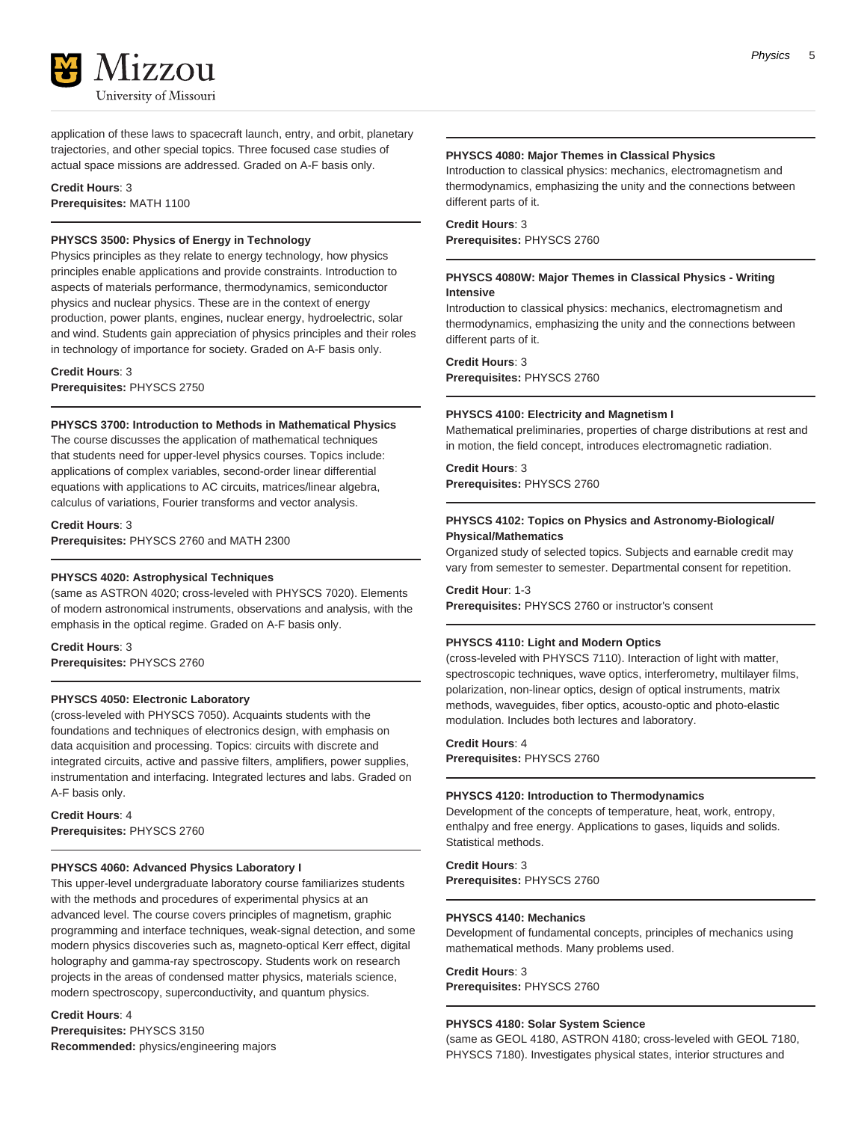

application of these laws to spacecraft launch, entry, and orbit, planetary trajectories, and other special topics. Three focused case studies of actual space missions are addressed. Graded on A-F basis only.

**Credit Hours**: 3 **Prerequisites:** MATH 1100

# **PHYSCS 3500: Physics of Energy in Technology**

Physics principles as they relate to energy technology, how physics principles enable applications and provide constraints. Introduction to aspects of materials performance, thermodynamics, semiconductor physics and nuclear physics. These are in the context of energy production, power plants, engines, nuclear energy, hydroelectric, solar and wind. Students gain appreciation of physics principles and their roles in technology of importance for society. Graded on A-F basis only.

**Credit Hours**: 3 **Prerequisites:** PHYSCS 2750

#### **PHYSCS 3700: Introduction to Methods in Mathematical Physics**

The course discusses the application of mathematical techniques that students need for upper-level physics courses. Topics include: applications of complex variables, second-order linear differential equations with applications to AC circuits, matrices/linear algebra, calculus of variations, Fourier transforms and vector analysis.

**Credit Hours**: 3 **Prerequisites:** PHYSCS 2760 and MATH 2300

### **PHYSCS 4020: Astrophysical Techniques**

(same as ASTRON 4020; cross-leveled with PHYSCS 7020). Elements of modern astronomical instruments, observations and analysis, with the emphasis in the optical regime. Graded on A-F basis only.

**Credit Hours**: 3 **Prerequisites:** PHYSCS 2760

# **PHYSCS 4050: Electronic Laboratory**

(cross-leveled with PHYSCS 7050). Acquaints students with the foundations and techniques of electronics design, with emphasis on data acquisition and processing. Topics: circuits with discrete and integrated circuits, active and passive filters, amplifiers, power supplies, instrumentation and interfacing. Integrated lectures and labs. Graded on A-F basis only.

**Credit Hours**: 4 **Prerequisites:** PHYSCS 2760

# **PHYSCS 4060: Advanced Physics Laboratory I**

This upper-level undergraduate laboratory course familiarizes students with the methods and procedures of experimental physics at an advanced level. The course covers principles of magnetism, graphic programming and interface techniques, weak-signal detection, and some modern physics discoveries such as, magneto-optical Kerr effect, digital holography and gamma-ray spectroscopy. Students work on research projects in the areas of condensed matter physics, materials science, modern spectroscopy, superconductivity, and quantum physics.

**Credit Hours**: 4 **Prerequisites:** PHYSCS 3150 **Recommended:** physics/engineering majors

#### **PHYSCS 4080: Major Themes in Classical Physics**

Introduction to classical physics: mechanics, electromagnetism and thermodynamics, emphasizing the unity and the connections between different parts of it.

**Credit Hours**: 3 **Prerequisites:** PHYSCS 2760

# **PHYSCS 4080W: Major Themes in Classical Physics - Writing Intensive**

Introduction to classical physics: mechanics, electromagnetism and thermodynamics, emphasizing the unity and the connections between different parts of it.

**Credit Hours**: 3 **Prerequisites:** PHYSCS 2760

# **PHYSCS 4100: Electricity and Magnetism I**

Mathematical preliminaries, properties of charge distributions at rest and in motion, the field concept, introduces electromagnetic radiation.

# **Credit Hours**: 3

**Prerequisites:** PHYSCS 2760

# **PHYSCS 4102: Topics on Physics and Astronomy-Biological/ Physical/Mathematics**

Organized study of selected topics. Subjects and earnable credit may vary from semester to semester. Departmental consent for repetition.

**Credit Hour**: 1-3 **Prerequisites:** PHYSCS 2760 or instructor's consent

#### **PHYSCS 4110: Light and Modern Optics**

(cross-leveled with PHYSCS 7110). Interaction of light with matter, spectroscopic techniques, wave optics, interferometry, multilayer films, polarization, non-linear optics, design of optical instruments, matrix methods, waveguides, fiber optics, acousto-optic and photo-elastic modulation. Includes both lectures and laboratory.

**Credit Hours**: 4 **Prerequisites:** PHYSCS 2760

#### **PHYSCS 4120: Introduction to Thermodynamics**

Development of the concepts of temperature, heat, work, entropy, enthalpy and free energy. Applications to gases, liquids and solids. Statistical methods.

**Credit Hours**: 3 **Prerequisites:** PHYSCS 2760

# **PHYSCS 4140: Mechanics**

Development of fundamental concepts, principles of mechanics using mathematical methods. Many problems used.

**Credit Hours**: 3 **Prerequisites:** PHYSCS 2760

#### **PHYSCS 4180: Solar System Science**

(same as GEOL 4180, ASTRON 4180; cross-leveled with GEOL 7180, PHYSCS 7180). Investigates physical states, interior structures and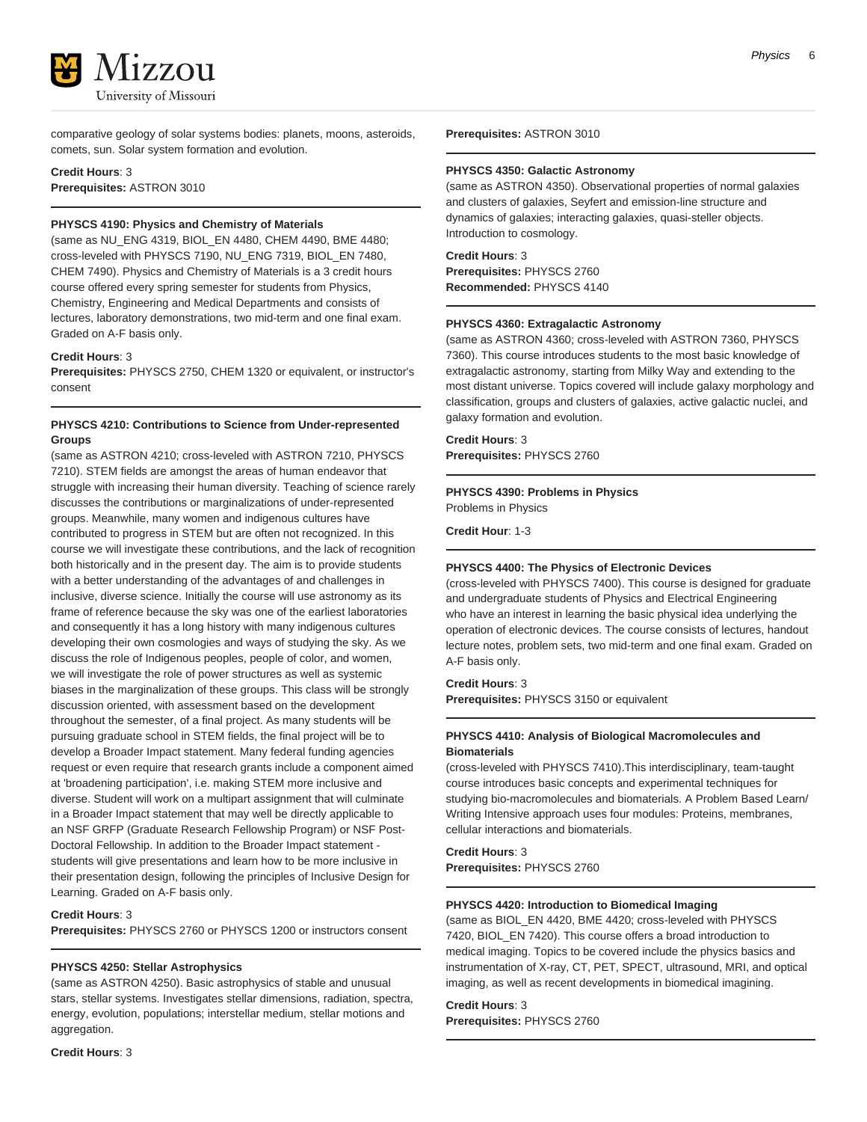

comparative geology of solar systems bodies: planets, moons, asteroids, comets, sun. Solar system formation and evolution.

**Credit Hours**: 3 **Prerequisites:** ASTRON 3010

# **PHYSCS 4190: Physics and Chemistry of Materials**

(same as NU\_ENG 4319, BIOL\_EN 4480, CHEM 4490, BME 4480; cross-leveled with PHYSCS 7190, NU\_ENG 7319, BIOL\_EN 7480, CHEM 7490). Physics and Chemistry of Materials is a 3 credit hours course offered every spring semester for students from Physics, Chemistry, Engineering and Medical Departments and consists of lectures, laboratory demonstrations, two mid-term and one final exam. Graded on A-F basis only.

# **Credit Hours**: 3

**Prerequisites:** PHYSCS 2750, CHEM 1320 or equivalent, or instructor's consent

# **PHYSCS 4210: Contributions to Science from Under-represented Groups**

(same as ASTRON 4210; cross-leveled with ASTRON 7210, PHYSCS 7210). STEM fields are amongst the areas of human endeavor that struggle with increasing their human diversity. Teaching of science rarely discusses the contributions or marginalizations of under-represented groups. Meanwhile, many women and indigenous cultures have contributed to progress in STEM but are often not recognized. In this course we will investigate these contributions, and the lack of recognition both historically and in the present day. The aim is to provide students with a better understanding of the advantages of and challenges in inclusive, diverse science. Initially the course will use astronomy as its frame of reference because the sky was one of the earliest laboratories and consequently it has a long history with many indigenous cultures developing their own cosmologies and ways of studying the sky. As we discuss the role of Indigenous peoples, people of color, and women, we will investigate the role of power structures as well as systemic biases in the marginalization of these groups. This class will be strongly discussion oriented, with assessment based on the development throughout the semester, of a final project. As many students will be pursuing graduate school in STEM fields, the final project will be to develop a Broader Impact statement. Many federal funding agencies request or even require that research grants include a component aimed at 'broadening participation', i.e. making STEM more inclusive and diverse. Student will work on a multipart assignment that will culminate in a Broader Impact statement that may well be directly applicable to an NSF GRFP (Graduate Research Fellowship Program) or NSF Post-Doctoral Fellowship. In addition to the Broader Impact statement students will give presentations and learn how to be more inclusive in their presentation design, following the principles of Inclusive Design for Learning. Graded on A-F basis only.

#### **Credit Hours**: 3

**Prerequisites:** PHYSCS 2760 or PHYSCS 1200 or instructors consent

#### **PHYSCS 4250: Stellar Astrophysics**

(same as ASTRON 4250). Basic astrophysics of stable and unusual stars, stellar systems. Investigates stellar dimensions, radiation, spectra, energy, evolution, populations; interstellar medium, stellar motions and aggregation.

**Credit Hours**: 3

**Prerequisites:** ASTRON 3010

#### **PHYSCS 4350: Galactic Astronomy**

(same as ASTRON 4350). Observational properties of normal galaxies and clusters of galaxies, Seyfert and emission-line structure and dynamics of galaxies; interacting galaxies, quasi-steller objects. Introduction to cosmology.

#### **Credit Hours**: 3

**Prerequisites:** PHYSCS 2760 **Recommended:** PHYSCS 4140

#### **PHYSCS 4360: Extragalactic Astronomy**

(same as ASTRON 4360; cross-leveled with ASTRON 7360, PHYSCS 7360). This course introduces students to the most basic knowledge of extragalactic astronomy, starting from Milky Way and extending to the most distant universe. Topics covered will include galaxy morphology and classification, groups and clusters of galaxies, active galactic nuclei, and galaxy formation and evolution.

# **Credit Hours**: 3 **Prerequisites:** PHYSCS 2760

# **PHYSCS 4390: Problems in Physics**

Problems in Physics

**Credit Hour**: 1-3

#### **PHYSCS 4400: The Physics of Electronic Devices**

(cross-leveled with PHYSCS 7400). This course is designed for graduate and undergraduate students of Physics and Electrical Engineering who have an interest in learning the basic physical idea underlying the operation of electronic devices. The course consists of lectures, handout lecture notes, problem sets, two mid-term and one final exam. Graded on A-F basis only.

**Credit Hours**: 3 **Prerequisites:** PHYSCS 3150 or equivalent

#### **PHYSCS 4410: Analysis of Biological Macromolecules and Biomaterials**

(cross-leveled with PHYSCS 7410).This interdisciplinary, team-taught course introduces basic concepts and experimental techniques for studying bio-macromolecules and biomaterials. A Problem Based Learn/ Writing Intensive approach uses four modules: Proteins, membranes, cellular interactions and biomaterials.

**Credit Hours**: 3 **Prerequisites:** PHYSCS 2760

# **PHYSCS 4420: Introduction to Biomedical Imaging**

(same as BIOL\_EN 4420, BME 4420; cross-leveled with PHYSCS 7420, BIOL\_EN 7420). This course offers a broad introduction to medical imaging. Topics to be covered include the physics basics and instrumentation of X-ray, CT, PET, SPECT, ultrasound, MRI, and optical imaging, as well as recent developments in biomedical imagining.

# **Credit Hours**: 3

**Prerequisites:** PHYSCS 2760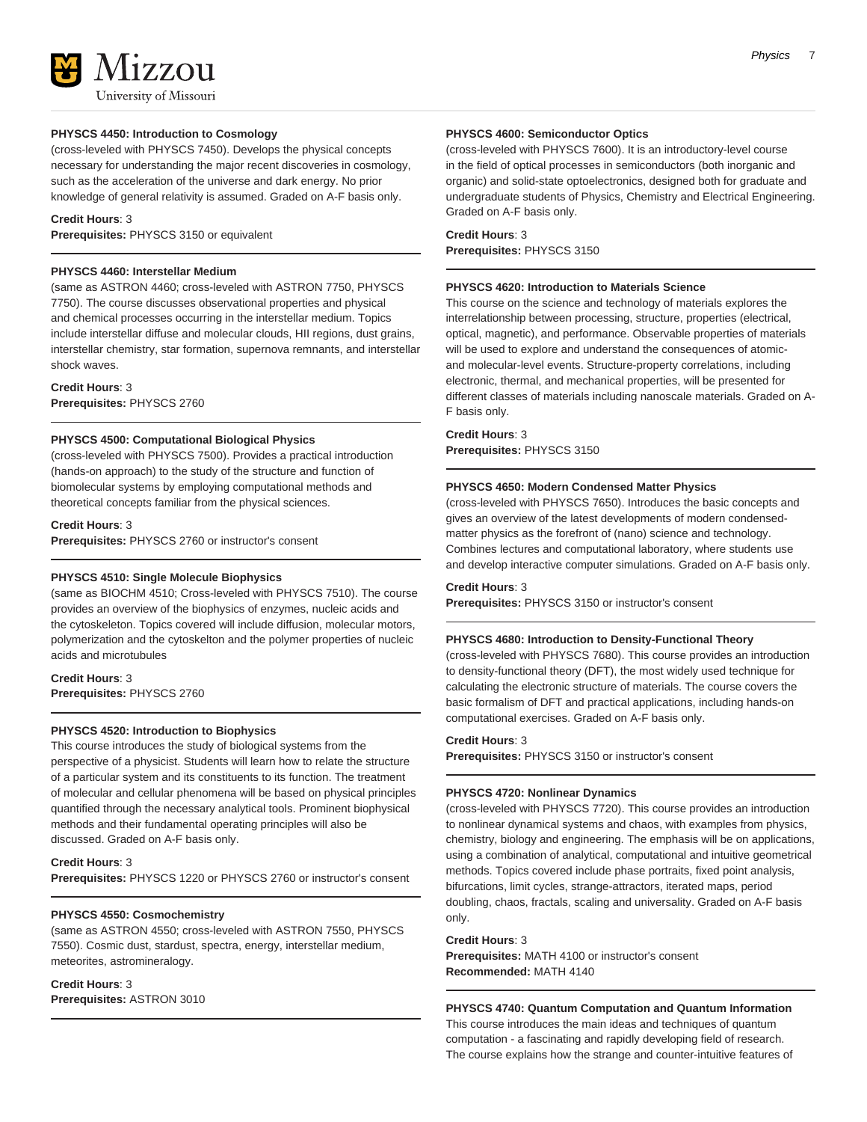# **PHYSCS 4450: Introduction to Cosmology**

(cross-leveled with PHYSCS 7450). Develops the physical concepts necessary for understanding the major recent discoveries in cosmology, such as the acceleration of the universe and dark energy. No prior knowledge of general relativity is assumed. Graded on A-F basis only.

### **Credit Hours**: 3

**Prerequisites:** PHYSCS 3150 or equivalent

### **PHYSCS 4460: Interstellar Medium**

(same as ASTRON 4460; cross-leveled with ASTRON 7750, PHYSCS 7750). The course discusses observational properties and physical and chemical processes occurring in the interstellar medium. Topics include interstellar diffuse and molecular clouds, HII regions, dust grains, interstellar chemistry, star formation, supernova remnants, and interstellar shock waves.

#### **Credit Hours**: 3

**Prerequisites:** PHYSCS 2760

# **PHYSCS 4500: Computational Biological Physics**

(cross-leveled with PHYSCS 7500). Provides a practical introduction (hands-on approach) to the study of the structure and function of biomolecular systems by employing computational methods and theoretical concepts familiar from the physical sciences.

#### **Credit Hours**: 3

**Prerequisites:** PHYSCS 2760 or instructor's consent

### **PHYSCS 4510: Single Molecule Biophysics**

(same as BIOCHM 4510; Cross-leveled with PHYSCS 7510). The course provides an overview of the biophysics of enzymes, nucleic acids and the cytoskeleton. Topics covered will include diffusion, molecular motors, polymerization and the cytoskelton and the polymer properties of nucleic acids and microtubules

# **Credit Hours**: 3

**Prerequisites:** PHYSCS 2760

#### **PHYSCS 4520: Introduction to Biophysics**

This course introduces the study of biological systems from the perspective of a physicist. Students will learn how to relate the structure of a particular system and its constituents to its function. The treatment of molecular and cellular phenomena will be based on physical principles quantified through the necessary analytical tools. Prominent biophysical methods and their fundamental operating principles will also be discussed. Graded on A-F basis only.

# **Credit Hours**: 3

**Prerequisites:** PHYSCS 1220 or PHYSCS 2760 or instructor's consent

# **PHYSCS 4550: Cosmochemistry**

(same as ASTRON 4550; cross-leveled with ASTRON 7550, PHYSCS 7550). Cosmic dust, stardust, spectra, energy, interstellar medium, meteorites, astromineralogy.

# **Credit Hours**: 3

**Prerequisites:** ASTRON 3010

#### **PHYSCS 4600: Semiconductor Optics**

(cross-leveled with PHYSCS 7600). It is an introductory-level course in the field of optical processes in semiconductors (both inorganic and organic) and solid-state optoelectronics, designed both for graduate and undergraduate students of Physics, Chemistry and Electrical Engineering. Graded on A-F basis only.

#### **Credit Hours**: 3 **Prerequisites:** PHYSCS 3150

#### **PHYSCS 4620: Introduction to Materials Science**

This course on the science and technology of materials explores the interrelationship between processing, structure, properties (electrical, optical, magnetic), and performance. Observable properties of materials will be used to explore and understand the consequences of atomicand molecular-level events. Structure-property correlations, including electronic, thermal, and mechanical properties, will be presented for different classes of materials including nanoscale materials. Graded on A-F basis only.

# **Credit Hours**: 3

**Prerequisites:** PHYSCS 3150

#### **PHYSCS 4650: Modern Condensed Matter Physics**

(cross-leveled with PHYSCS 7650). Introduces the basic concepts and gives an overview of the latest developments of modern condensedmatter physics as the forefront of (nano) science and technology. Combines lectures and computational laboratory, where students use and develop interactive computer simulations. Graded on A-F basis only.

# **Credit Hours**: 3

**Prerequisites:** PHYSCS 3150 or instructor's consent

#### **PHYSCS 4680: Introduction to Density-Functional Theory**

(cross-leveled with PHYSCS 7680). This course provides an introduction to density-functional theory (DFT), the most widely used technique for calculating the electronic structure of materials. The course covers the basic formalism of DFT and practical applications, including hands-on computational exercises. Graded on A-F basis only.

# **Credit Hours**: 3

**Prerequisites:** PHYSCS 3150 or instructor's consent

# **PHYSCS 4720: Nonlinear Dynamics**

(cross-leveled with PHYSCS 7720). This course provides an introduction to nonlinear dynamical systems and chaos, with examples from physics, chemistry, biology and engineering. The emphasis will be on applications, using a combination of analytical, computational and intuitive geometrical methods. Topics covered include phase portraits, fixed point analysis, bifurcations, limit cycles, strange-attractors, iterated maps, period doubling, chaos, fractals, scaling and universality. Graded on A-F basis only.

#### **Credit Hours**: 3

**Prerequisites:** MATH 4100 or instructor's consent **Recommended:** MATH 4140

**PHYSCS 4740: Quantum Computation and Quantum Information** This course introduces the main ideas and techniques of quantum computation - a fascinating and rapidly developing field of research. The course explains how the strange and counter-intuitive features of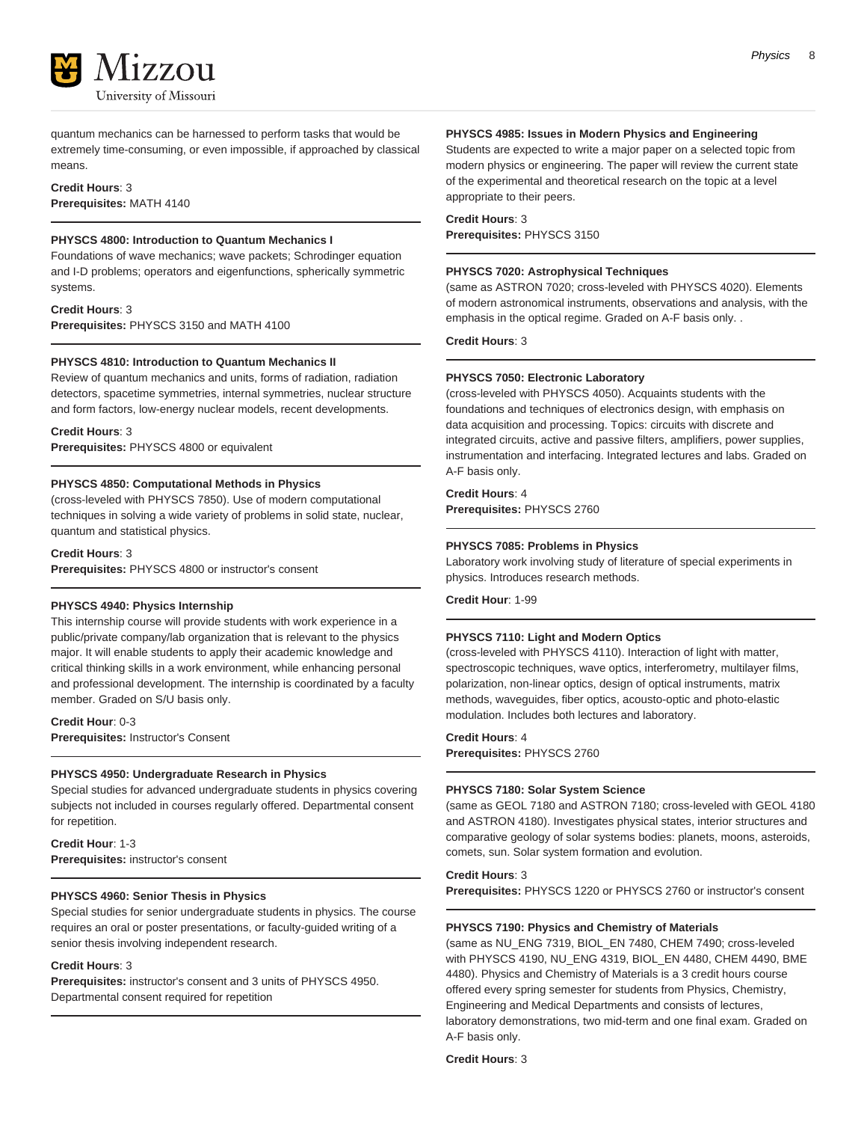

quantum mechanics can be harnessed to perform tasks that would be extremely time-consuming, or even impossible, if approached by classical means.

# **Credit Hours**: 3 **Prerequisites:** MATH 4140

# **PHYSCS 4800: Introduction to Quantum Mechanics I**

Foundations of wave mechanics; wave packets; Schrodinger equation and I-D problems; operators and eigenfunctions, spherically symmetric systems.

**Credit Hours**: 3 **Prerequisites:** PHYSCS 3150 and MATH 4100

# **PHYSCS 4810: Introduction to Quantum Mechanics II**

Review of quantum mechanics and units, forms of radiation, radiation detectors, spacetime symmetries, internal symmetries, nuclear structure and form factors, low-energy nuclear models, recent developments.

# **Credit Hours**: 3

**Prerequisites:** PHYSCS 4800 or equivalent

# **PHYSCS 4850: Computational Methods in Physics**

(cross-leveled with PHYSCS 7850). Use of modern computational techniques in solving a wide variety of problems in solid state, nuclear, quantum and statistical physics.

# **Credit Hours**: 3

**Prerequisites:** PHYSCS 4800 or instructor's consent

# **PHYSCS 4940: Physics Internship**

This internship course will provide students with work experience in a public/private company/lab organization that is relevant to the physics major. It will enable students to apply their academic knowledge and critical thinking skills in a work environment, while enhancing personal and professional development. The internship is coordinated by a faculty member. Graded on S/U basis only.

**Credit Hour**: 0-3 **Prerequisites:** Instructor's Consent

# **PHYSCS 4950: Undergraduate Research in Physics**

Special studies for advanced undergraduate students in physics covering subjects not included in courses regularly offered. Departmental consent for repetition.

**Credit Hour**: 1-3 **Prerequisites:** instructor's consent

# **PHYSCS 4960: Senior Thesis in Physics**

Special studies for senior undergraduate students in physics. The course requires an oral or poster presentations, or faculty-guided writing of a senior thesis involving independent research.

# **Credit Hours**: 3

**Prerequisites:** instructor's consent and 3 units of PHYSCS 4950. Departmental consent required for repetition

# **PHYSCS 4985: Issues in Modern Physics and Engineering**

Students are expected to write a major paper on a selected topic from modern physics or engineering. The paper will review the current state of the experimental and theoretical research on the topic at a level appropriate to their peers.

### **Credit Hours**: 3

**Prerequisites:** PHYSCS 3150

# **PHYSCS 7020: Astrophysical Techniques**

(same as ASTRON 7020; cross-leveled with PHYSCS 4020). Elements of modern astronomical instruments, observations and analysis, with the emphasis in the optical regime. Graded on A-F basis only. .

**Credit Hours**: 3

# **PHYSCS 7050: Electronic Laboratory**

(cross-leveled with PHYSCS 4050). Acquaints students with the foundations and techniques of electronics design, with emphasis on data acquisition and processing. Topics: circuits with discrete and integrated circuits, active and passive filters, amplifiers, power supplies, instrumentation and interfacing. Integrated lectures and labs. Graded on A-F basis only.

# **Credit Hours**: 4

**Prerequisites:** PHYSCS 2760

# **PHYSCS 7085: Problems in Physics**

Laboratory work involving study of literature of special experiments in physics. Introduces research methods.

**Credit Hour**: 1-99

# **PHYSCS 7110: Light and Modern Optics**

(cross-leveled with PHYSCS 4110). Interaction of light with matter, spectroscopic techniques, wave optics, interferometry, multilayer films, polarization, non-linear optics, design of optical instruments, matrix methods, waveguides, fiber optics, acousto-optic and photo-elastic modulation. Includes both lectures and laboratory.

## **Credit Hours**: 4

**Prerequisites:** PHYSCS 2760

# **PHYSCS 7180: Solar System Science**

(same as GEOL 7180 and ASTRON 7180; cross-leveled with GEOL 4180 and ASTRON 4180). Investigates physical states, interior structures and comparative geology of solar systems bodies: planets, moons, asteroids, comets, sun. Solar system formation and evolution.

# **Credit Hours**: 3

**Prerequisites:** PHYSCS 1220 or PHYSCS 2760 or instructor's consent

# **PHYSCS 7190: Physics and Chemistry of Materials**

(same as NU\_ENG 7319, BIOL\_EN 7480, CHEM 7490; cross-leveled with PHYSCS 4190, NU\_ENG 4319, BIOL\_EN 4480, CHEM 4490, BME 4480). Physics and Chemistry of Materials is a 3 credit hours course offered every spring semester for students from Physics, Chemistry, Engineering and Medical Departments and consists of lectures, laboratory demonstrations, two mid-term and one final exam. Graded on A-F basis only.

**Credit Hours**: 3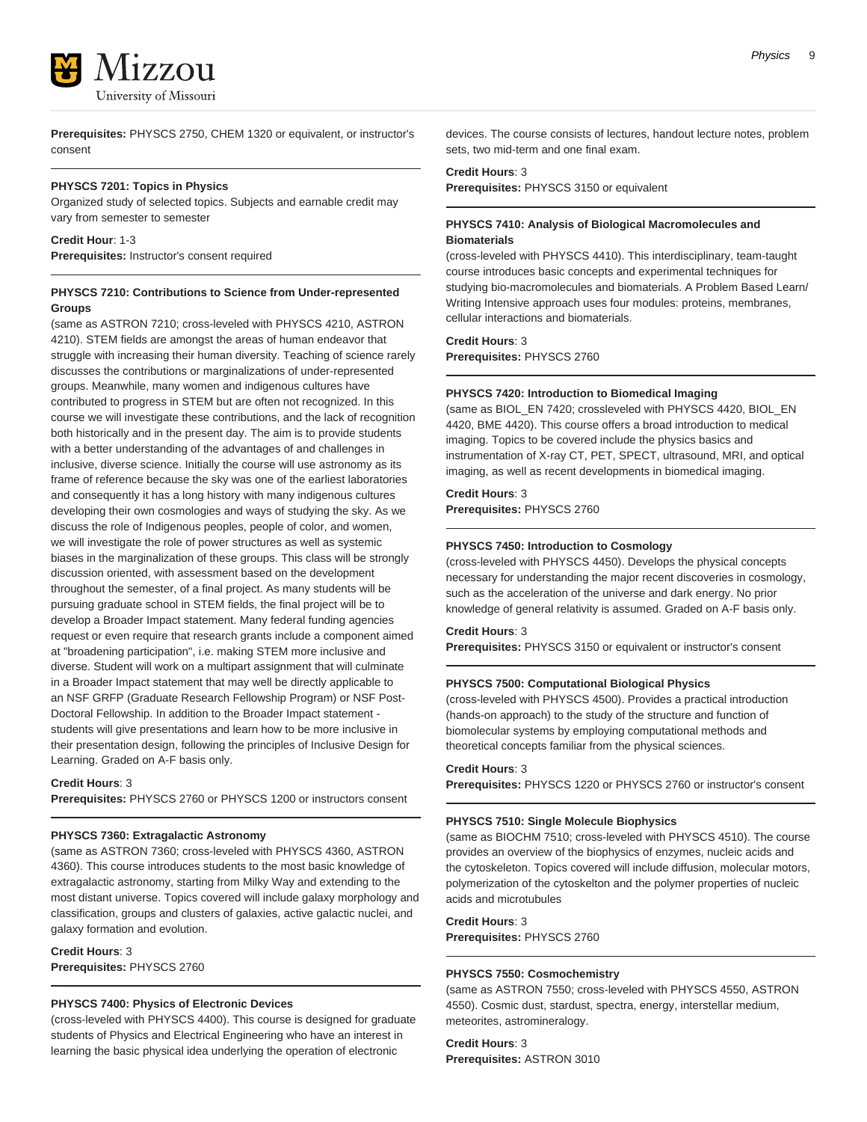

**Prerequisites:** PHYSCS 2750, CHEM 1320 or equivalent, or instructor's consent

### **PHYSCS 7201: Topics in Physics**

Organized study of selected topics. Subjects and earnable credit may vary from semester to semester

### **Credit Hour**: 1-3

**Prerequisites:** Instructor's consent required

# **PHYSCS 7210: Contributions to Science from Under-represented Groups**

(same as ASTRON 7210; cross-leveled with PHYSCS 4210, ASTRON 4210). STEM fields are amongst the areas of human endeavor that struggle with increasing their human diversity. Teaching of science rarely discusses the contributions or marginalizations of under-represented groups. Meanwhile, many women and indigenous cultures have contributed to progress in STEM but are often not recognized. In this course we will investigate these contributions, and the lack of recognition both historically and in the present day. The aim is to provide students with a better understanding of the advantages of and challenges in inclusive, diverse science. Initially the course will use astronomy as its frame of reference because the sky was one of the earliest laboratories and consequently it has a long history with many indigenous cultures developing their own cosmologies and ways of studying the sky. As we discuss the role of Indigenous peoples, people of color, and women, we will investigate the role of power structures as well as systemic biases in the marginalization of these groups. This class will be strongly discussion oriented, with assessment based on the development throughout the semester, of a final project. As many students will be pursuing graduate school in STEM fields, the final project will be to develop a Broader Impact statement. Many federal funding agencies request or even require that research grants include a component aimed at "broadening participation", i.e. making STEM more inclusive and diverse. Student will work on a multipart assignment that will culminate in a Broader Impact statement that may well be directly applicable to an NSF GRFP (Graduate Research Fellowship Program) or NSF Post-Doctoral Fellowship. In addition to the Broader Impact statement students will give presentations and learn how to be more inclusive in their presentation design, following the principles of Inclusive Design for Learning. Graded on A-F basis only.

**Credit Hours**: 3

**Prerequisites:** PHYSCS 2760 or PHYSCS 1200 or instructors consent

#### **PHYSCS 7360: Extragalactic Astronomy**

(same as ASTRON 7360; cross-leveled with PHYSCS 4360, ASTRON 4360). This course introduces students to the most basic knowledge of extragalactic astronomy, starting from Milky Way and extending to the most distant universe. Topics covered will include galaxy morphology and classification, groups and clusters of galaxies, active galactic nuclei, and galaxy formation and evolution.

**Credit Hours**: 3 **Prerequisites:** PHYSCS 2760

# **PHYSCS 7400: Physics of Electronic Devices**

(cross-leveled with PHYSCS 4400). This course is designed for graduate students of Physics and Electrical Engineering who have an interest in learning the basic physical idea underlying the operation of electronic

devices. The course consists of lectures, handout lecture notes, problem sets, two mid-term and one final exam.

# **Credit Hours**: 3

**Prerequisites:** PHYSCS 3150 or equivalent

# **PHYSCS 7410: Analysis of Biological Macromolecules and Biomaterials**

(cross-leveled with PHYSCS 4410). This interdisciplinary, team-taught course introduces basic concepts and experimental techniques for studying bio-macromolecules and biomaterials. A Problem Based Learn/ Writing Intensive approach uses four modules: proteins, membranes, cellular interactions and biomaterials.

# **Credit Hours**: 3

**Prerequisites:** PHYSCS 2760

# **PHYSCS 7420: Introduction to Biomedical Imaging**

(same as BIOL\_EN 7420; crossleveled with PHYSCS 4420, BIOL\_EN 4420, BME 4420). This course offers a broad introduction to medical imaging. Topics to be covered include the physics basics and instrumentation of X-ray CT, PET, SPECT, ultrasound, MRI, and optical imaging, as well as recent developments in biomedical imaging.

# **Credit Hours**: 3

**Prerequisites:** PHYSCS 2760

# **PHYSCS 7450: Introduction to Cosmology**

(cross-leveled with PHYSCS 4450). Develops the physical concepts necessary for understanding the major recent discoveries in cosmology, such as the acceleration of the universe and dark energy. No prior knowledge of general relativity is assumed. Graded on A-F basis only.

**Credit Hours**: 3

**Prerequisites:** PHYSCS 3150 or equivalent or instructor's consent

#### **PHYSCS 7500: Computational Biological Physics**

(cross-leveled with PHYSCS 4500). Provides a practical introduction (hands-on approach) to the study of the structure and function of biomolecular systems by employing computational methods and theoretical concepts familiar from the physical sciences.

#### **Credit Hours**: 3

**Prerequisites:** PHYSCS 1220 or PHYSCS 2760 or instructor's consent

#### **PHYSCS 7510: Single Molecule Biophysics**

(same as BIOCHM 7510; cross-leveled with PHYSCS 4510). The course provides an overview of the biophysics of enzymes, nucleic acids and the cytoskeleton. Topics covered will include diffusion, molecular motors, polymerization of the cytoskelton and the polymer properties of nucleic acids and microtubules

**Credit Hours**: 3 **Prerequisites:** PHYSCS 2760

# **PHYSCS 7550: Cosmochemistry**

(same as ASTRON 7550; cross-leveled with PHYSCS 4550, ASTRON 4550). Cosmic dust, stardust, spectra, energy, interstellar medium, meteorites, astromineralogy.

**Credit Hours**: 3 **Prerequisites:** ASTRON 3010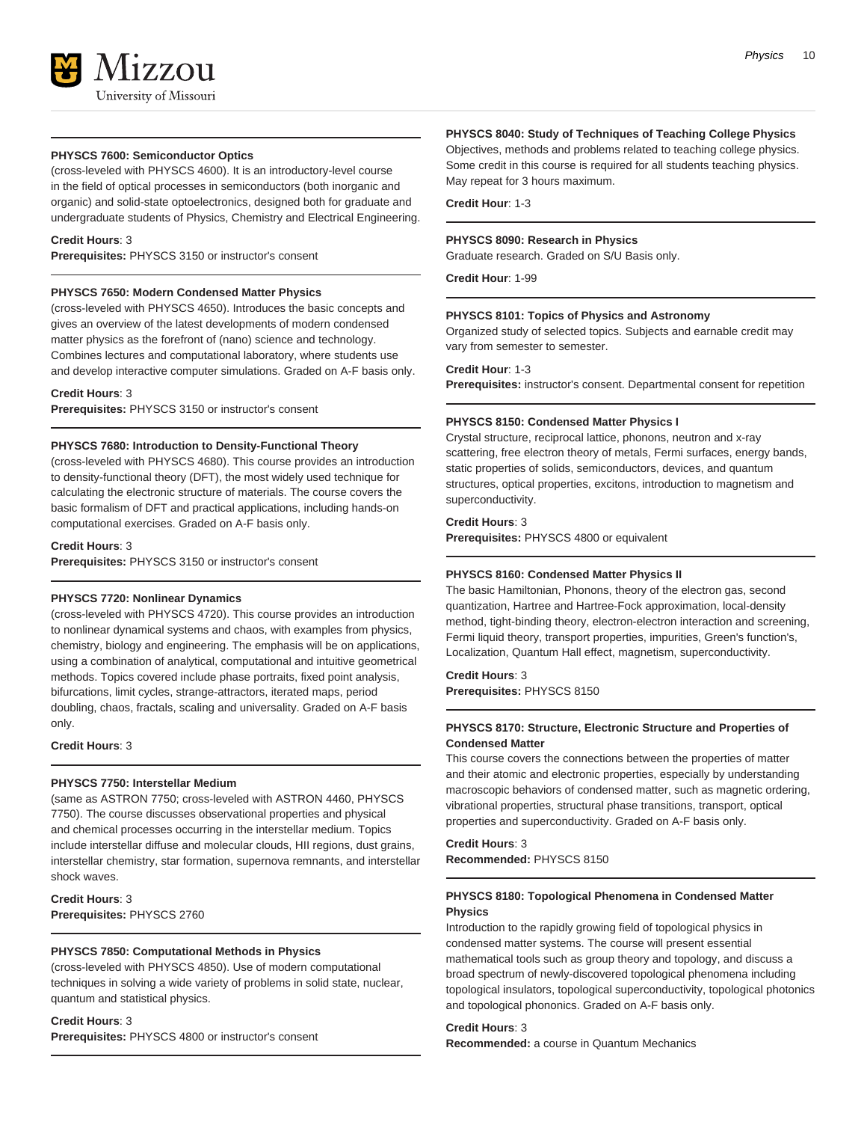# **PHYSCS 7600: Semiconductor Optics**

(cross-leveled with PHYSCS 4600). It is an introductory-level course in the field of optical processes in semiconductors (both inorganic and organic) and solid-state optoelectronics, designed both for graduate and undergraduate students of Physics, Chemistry and Electrical Engineering.

#### **Credit Hours**: 3

**Prerequisites:** PHYSCS 3150 or instructor's consent

#### **PHYSCS 7650: Modern Condensed Matter Physics**

(cross-leveled with PHYSCS 4650). Introduces the basic concepts and gives an overview of the latest developments of modern condensed matter physics as the forefront of (nano) science and technology. Combines lectures and computational laboratory, where students use and develop interactive computer simulations. Graded on A-F basis only.

#### **Credit Hours**: 3

**Prerequisites:** PHYSCS 3150 or instructor's consent

#### **PHYSCS 7680: Introduction to Density-Functional Theory**

(cross-leveled with PHYSCS 4680). This course provides an introduction to density-functional theory (DFT), the most widely used technique for calculating the electronic structure of materials. The course covers the basic formalism of DFT and practical applications, including hands-on computational exercises. Graded on A-F basis only.

#### **Credit Hours**: 3

**Prerequisites:** PHYSCS 3150 or instructor's consent

# **PHYSCS 7720: Nonlinear Dynamics**

(cross-leveled with PHYSCS 4720). This course provides an introduction to nonlinear dynamical systems and chaos, with examples from physics, chemistry, biology and engineering. The emphasis will be on applications, using a combination of analytical, computational and intuitive geometrical methods. Topics covered include phase portraits, fixed point analysis, bifurcations, limit cycles, strange-attractors, iterated maps, period doubling, chaos, fractals, scaling and universality. Graded on A-F basis only.

**Credit Hours**: 3

# **PHYSCS 7750: Interstellar Medium**

(same as ASTRON 7750; cross-leveled with ASTRON 4460, PHYSCS 7750). The course discusses observational properties and physical and chemical processes occurring in the interstellar medium. Topics include interstellar diffuse and molecular clouds, HII regions, dust grains, interstellar chemistry, star formation, supernova remnants, and interstellar shock waves.

**Credit Hours**: 3 **Prerequisites:** PHYSCS 2760

# **PHYSCS 7850: Computational Methods in Physics**

(cross-leveled with PHYSCS 4850). Use of modern computational techniques in solving a wide variety of problems in solid state, nuclear, quantum and statistical physics.

# **Credit Hours**: 3

**Prerequisites:** PHYSCS 4800 or instructor's consent

# **PHYSCS 8040: Study of Techniques of Teaching College Physics**

Objectives, methods and problems related to teaching college physics. Some credit in this course is required for all students teaching physics. May repeat for 3 hours maximum.

**Credit Hour**: 1-3

# **PHYSCS 8090: Research in Physics**

Graduate research. Graded on S/U Basis only.

**Credit Hour**: 1-99

# **PHYSCS 8101: Topics of Physics and Astronomy**

Organized study of selected topics. Subjects and earnable credit may vary from semester to semester.

#### **Credit Hour**: 1-3

**Prerequisites:** instructor's consent. Departmental consent for repetition

#### **PHYSCS 8150: Condensed Matter Physics I**

Crystal structure, reciprocal lattice, phonons, neutron and x-ray scattering, free electron theory of metals, Fermi surfaces, energy bands, static properties of solids, semiconductors, devices, and quantum structures, optical properties, excitons, introduction to magnetism and superconductivity.

# **Credit Hours**: 3

**Prerequisites:** PHYSCS 4800 or equivalent

#### **PHYSCS 8160: Condensed Matter Physics II**

The basic Hamiltonian, Phonons, theory of the electron gas, second quantization, Hartree and Hartree-Fock approximation, local-density method, tight-binding theory, electron-electron interaction and screening, Fermi liquid theory, transport properties, impurities, Green's function's, Localization, Quantum Hall effect, magnetism, superconductivity.

#### **Credit Hours**: 3

**Prerequisites:** PHYSCS 8150

# **PHYSCS 8170: Structure, Electronic Structure and Properties of Condensed Matter**

This course covers the connections between the properties of matter and their atomic and electronic properties, especially by understanding macroscopic behaviors of condensed matter, such as magnetic ordering, vibrational properties, structural phase transitions, transport, optical properties and superconductivity. Graded on A-F basis only.

# **Credit Hours**: 3

**Recommended:** PHYSCS 8150

# **PHYSCS 8180: Topological Phenomena in Condensed Matter Physics**

Introduction to the rapidly growing field of topological physics in condensed matter systems. The course will present essential mathematical tools such as group theory and topology, and discuss a broad spectrum of newly-discovered topological phenomena including topological insulators, topological superconductivity, topological photonics and topological phononics. Graded on A-F basis only.

#### **Credit Hours**: 3

**Recommended:** a course in Quantum Mechanics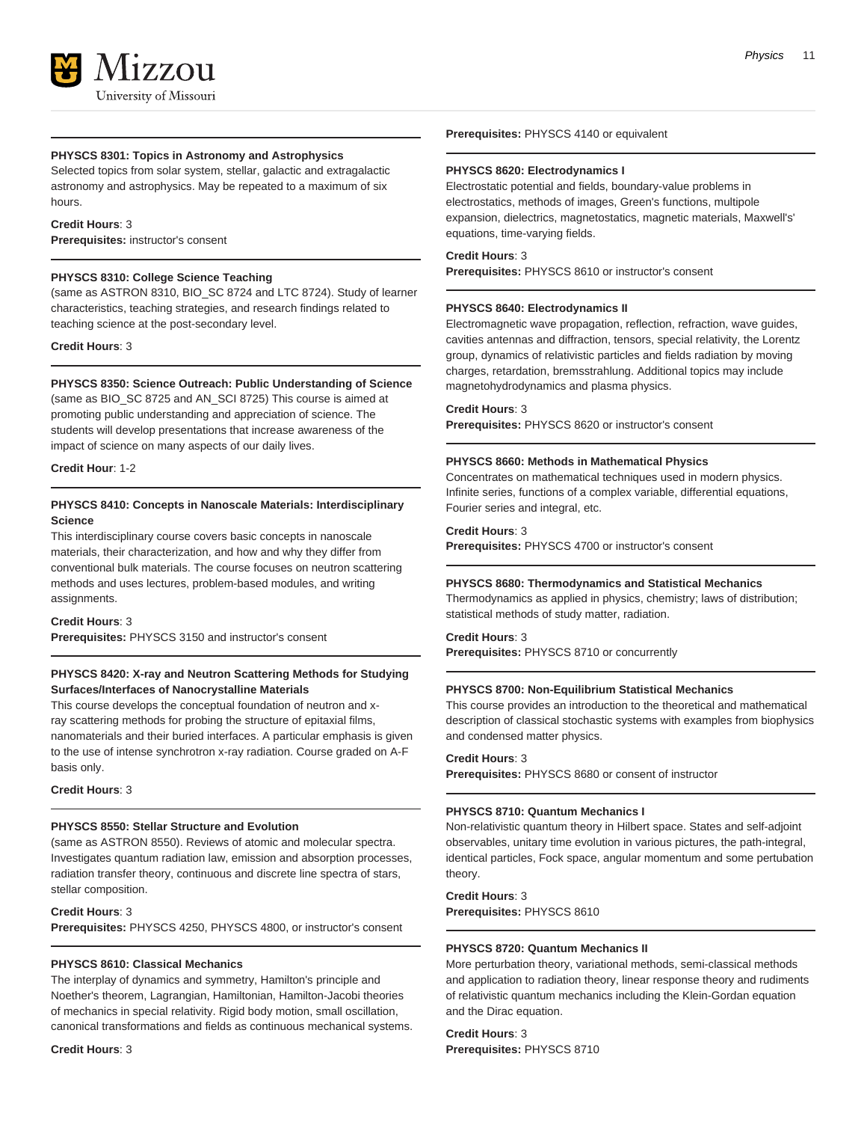### **PHYSCS 8301: Topics in Astronomy and Astrophysics**

Selected topics from solar system, stellar, galactic and extragalactic astronomy and astrophysics. May be repeated to a maximum of six hours.

# **Credit Hours**: 3

**Prerequisites:** instructor's consent

# **PHYSCS 8310: College Science Teaching**

(same as ASTRON 8310, BIO SC 8724 and LTC 8724). Study of learner characteristics, teaching strategies, and research findings related to teaching science at the post-secondary level.

**Credit Hours**: 3

#### **PHYSCS 8350: Science Outreach: Public Understanding of Science**

(same as BIO\_SC 8725 and AN\_SCI 8725) This course is aimed at promoting public understanding and appreciation of science. The students will develop presentations that increase awareness of the impact of science on many aspects of our daily lives.

#### **Credit Hour**: 1-2

# **PHYSCS 8410: Concepts in Nanoscale Materials: Interdisciplinary Science**

This interdisciplinary course covers basic concepts in nanoscale materials, their characterization, and how and why they differ from conventional bulk materials. The course focuses on neutron scattering methods and uses lectures, problem-based modules, and writing assignments.

# **Credit Hours**: 3

**Prerequisites:** PHYSCS 3150 and instructor's consent

# **PHYSCS 8420: X-ray and Neutron Scattering Methods for Studying Surfaces/Interfaces of Nanocrystalline Materials**

This course develops the conceptual foundation of neutron and xray scattering methods for probing the structure of epitaxial films, nanomaterials and their buried interfaces. A particular emphasis is given to the use of intense synchrotron x-ray radiation. Course graded on A-F basis only.

### **Credit Hours**: 3

# **PHYSCS 8550: Stellar Structure and Evolution**

(same as ASTRON 8550). Reviews of atomic and molecular spectra. Investigates quantum radiation law, emission and absorption processes, radiation transfer theory, continuous and discrete line spectra of stars, stellar composition.

# **Credit Hours**: 3

**Prerequisites:** PHYSCS 4250, PHYSCS 4800, or instructor's consent

#### **PHYSCS 8610: Classical Mechanics**

The interplay of dynamics and symmetry, Hamilton's principle and Noether's theorem, Lagrangian, Hamiltonian, Hamilton-Jacobi theories of mechanics in special relativity. Rigid body motion, small oscillation, canonical transformations and fields as continuous mechanical systems.

#### **Credit Hours**: 3

**Prerequisites:** PHYSCS 4140 or equivalent

#### **PHYSCS 8620: Electrodynamics I**

Electrostatic potential and fields, boundary-value problems in electrostatics, methods of images, Green's functions, multipole expansion, dielectrics, magnetostatics, magnetic materials, Maxwell's' equations, time-varying fields.

# **Credit Hours**: 3

**Prerequisites:** PHYSCS 8610 or instructor's consent

#### **PHYSCS 8640: Electrodynamics II**

Electromagnetic wave propagation, reflection, refraction, wave guides, cavities antennas and diffraction, tensors, special relativity, the Lorentz group, dynamics of relativistic particles and fields radiation by moving charges, retardation, bremsstrahlung. Additional topics may include magnetohydrodynamics and plasma physics.

#### **Credit Hours**: 3

**Prerequisites:** PHYSCS 8620 or instructor's consent

#### **PHYSCS 8660: Methods in Mathematical Physics**

Concentrates on mathematical techniques used in modern physics. Infinite series, functions of a complex variable, differential equations, Fourier series and integral, etc.

# **Credit Hours**: 3

**Prerequisites:** PHYSCS 4700 or instructor's consent

# **PHYSCS 8680: Thermodynamics and Statistical Mechanics**

Thermodynamics as applied in physics, chemistry; laws of distribution; statistical methods of study matter, radiation.

# **Credit Hours**: 3

**Prerequisites:** PHYSCS 8710 or concurrently

#### **PHYSCS 8700: Non-Equilibrium Statistical Mechanics**

This course provides an introduction to the theoretical and mathematical description of classical stochastic systems with examples from biophysics and condensed matter physics.

#### **Credit Hours**: 3

**Prerequisites:** PHYSCS 8680 or consent of instructor

#### **PHYSCS 8710: Quantum Mechanics I**

Non-relativistic quantum theory in Hilbert space. States and self-adjoint observables, unitary time evolution in various pictures, the path-integral, identical particles, Fock space, angular momentum and some pertubation theory.

**Credit Hours**: 3 **Prerequisites:** PHYSCS 8610

#### **PHYSCS 8720: Quantum Mechanics II**

More perturbation theory, variational methods, semi-classical methods and application to radiation theory, linear response theory and rudiments of relativistic quantum mechanics including the Klein-Gordan equation and the Dirac equation.

**Credit Hours**: 3 **Prerequisites:** PHYSCS 8710